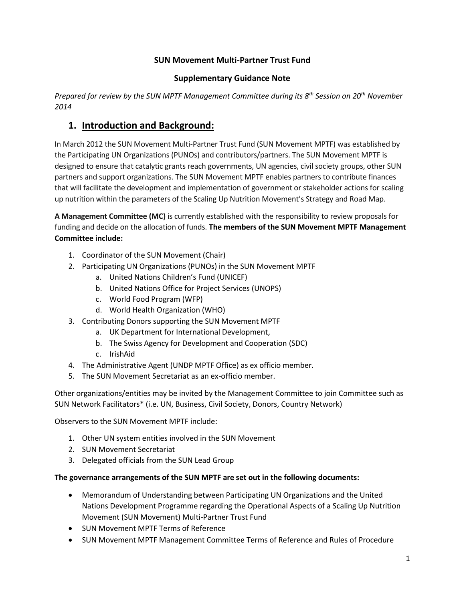## **SUN Movement Multi-Partner Trust Fund**

#### **Supplementary Guidance Note**

*Prepared for review by the SUN MPTF Management Committee during its 8th Session on 20th November 2014*

## **1. Introduction and Background:**

In March 2012 the SUN Movement Multi-Partner Trust Fund (SUN Movement MPTF) was established by the Participating UN Organizations (PUNOs) and contributors/partners. The SUN Movement MPTF is designed to ensure that catalytic grants reach governments, UN agencies, civil society groups, other SUN partners and support organizations. The SUN Movement MPTF enables partners to contribute finances that will facilitate the development and implementation of government or stakeholder actions for scaling up nutrition within the parameters of the Scaling Up Nutrition Movement's Strategy and Road Map.

**A Management Committee (MC)** is currently established with the responsibility to review proposals for funding and decide on the allocation of funds. **The members of the SUN Movement MPTF Management Committee include:** 

- 1. Coordinator of the SUN Movement (Chair)
- 2. Participating UN Organizations (PUNOs) in the SUN Movement MPTF
	- a. United Nations Children's Fund (UNICEF)
	- b. United Nations Office for Project Services (UNOPS)
	- c. World Food Program (WFP)
	- d. World Health Organization (WHO)
- 3. Contributing Donors supporting the SUN Movement MPTF
	- a. UK Department for International Development,
	- b. The Swiss Agency for Development and Cooperation (SDC)
	- c. IrishAid
- 4. The Administrative Agent (UNDP MPTF Office) as ex officio member.
- 5. The SUN Movement Secretariat as an ex-officio member.

Other organizations/entities may be invited by the Management Committee to join Committee such as SUN Network Facilitators\* (i.e. UN, Business, Civil Society, Donors, Country Network)

Observers to the SUN Movement MPTF include:

- 1. Other UN system entities involved in the SUN Movement
- 2. SUN Movement Secretariat
- 3. Delegated officials from the SUN Lead Group

### **The governance arrangements of the SUN MPTF are set out in the following documents:**

- Memorandum of Understanding between Participating UN Organizations and the United Nations Development Programme regarding the Operational Aspects of a Scaling Up Nutrition Movement (SUN Movement) Multi-Partner Trust Fund
- SUN Movement MPTF Terms of Reference
- SUN Movement MPTF Management Committee Terms of Reference and Rules of Procedure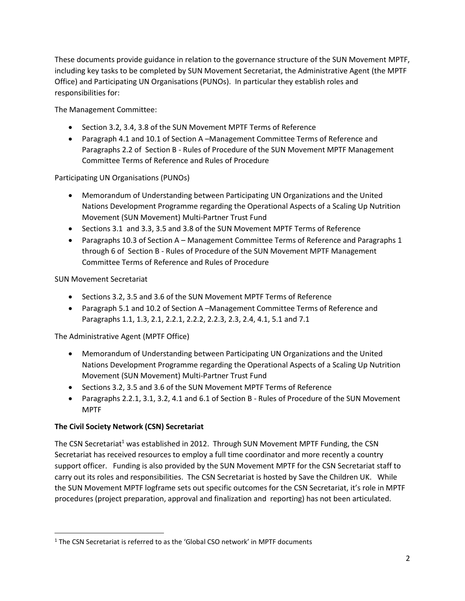These documents provide guidance in relation to the governance structure of the SUN Movement MPTF, including key tasks to be completed by SUN Movement Secretariat, the Administrative Agent (the MPTF Office) and Participating UN Organisations (PUNOs). In particular they establish roles and responsibilities for:

The Management Committee:

- Section 3.2, 3.4, 3.8 of the SUN Movement MPTF Terms of Reference
- Paragraph 4.1 and 10.1 of Section A –Management Committee Terms of Reference and Paragraphs 2.2 of Section B - Rules of Procedure of the SUN Movement MPTF Management Committee Terms of Reference and Rules of Procedure

### Participating UN Organisations (PUNOs)

- Memorandum of Understanding between Participating UN Organizations and the United Nations Development Programme regarding the Operational Aspects of a Scaling Up Nutrition Movement (SUN Movement) Multi-Partner Trust Fund
- Sections 3.1 and 3.3, 3.5 and 3.8 of the SUN Movement MPTF Terms of Reference
- Paragraphs 10.3 of Section A Management Committee Terms of Reference and Paragraphs 1 through 6 of Section B - Rules of Procedure of the SUN Movement MPTF Management Committee Terms of Reference and Rules of Procedure

## SUN Movement Secretariat

- Sections 3.2, 3.5 and 3.6 of the SUN Movement MPTF Terms of Reference
- Paragraph 5.1 and 10.2 of Section A –Management Committee Terms of Reference and Paragraphs 1.1, 1.3, 2.1, 2.2.1, 2.2.2, 2.2.3, 2.3, 2.4, 4.1, 5.1 and 7.1

The Administrative Agent (MPTF Office)

- Memorandum of Understanding between Participating UN Organizations and the United Nations Development Programme regarding the Operational Aspects of a Scaling Up Nutrition Movement (SUN Movement) Multi-Partner Trust Fund
- Sections 3.2, 3.5 and 3.6 of the SUN Movement MPTF Terms of Reference
- Paragraphs 2.2.1, 3.1, 3.2, 4.1 and 6.1 of Section B Rules of Procedure of the SUN Movement MPTF

### **The Civil Society Network (CSN) Secretariat**

 $\overline{\phantom{a}}$ 

The CSN Secretariat<sup>1</sup> was established in 2012. Through SUN Movement MPTF Funding, the CSN Secretariat has received resources to employ a full time coordinator and more recently a country support officer. Funding is also provided by the SUN Movement MPTF for the CSN Secretariat staff to carry out its roles and responsibilities. The CSN Secretariat is hosted by Save the Children UK. While the SUN Movement MPTF logframe sets out specific outcomes for the CSN Secretariat, it's role in MPTF procedures (project preparation, approval and finalization and reporting) has not been articulated.

<sup>1</sup> The CSN Secretariat is referred to as the 'Global CSO network' in MPTF documents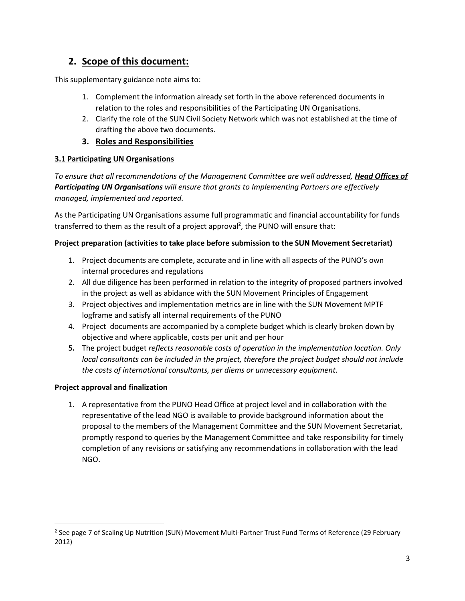# **2. Scope of this document:**

This supplementary guidance note aims to:

- 1. Complement the information already set forth in the above referenced documents in relation to the roles and responsibilities of the Participating UN Organisations.
- 2. Clarify the role of the SUN Civil Society Network which was not established at the time of drafting the above two documents.

## **3. Roles and Responsibilities**

## **3.1 Participating UN Organisations**

*To ensure that all recommendations of the Management Committee are well addressed, Head Offices of Participating UN Organisations will ensure that grants to Implementing Partners are effectively managed, implemented and reported.* 

As the Participating UN Organisations assume full programmatic and financial accountability for funds transferred to them as the result of a project approval<sup>2</sup>, the PUNO will ensure that:

## **Project preparation (activities to take place before submission to the SUN Movement Secretariat)**

- 1. Project documents are complete, accurate and in line with all aspects of the PUNO's own internal procedures and regulations
- 2. All due diligence has been performed in relation to the integrity of proposed partners involved in the project as well as abidance with the SUN Movement Principles of Engagement
- 3. Project objectives and implementation metrics are in line with the SUN Movement MPTF logframe and satisfy all internal requirements of the PUNO
- 4. Project documents are accompanied by a complete budget which is clearly broken down by objective and where applicable, costs per unit and per hour
- **5.** The project budget *reflects reasonable costs of operation in the implementation location. Only local consultants can be included in the project, therefore the project budget should not include the costs of international consultants, per diems or unnecessary equipment*.

## **Project approval and finalization**

l

1. A representative from the PUNO Head Office at project level and in collaboration with the representative of the lead NGO is available to provide background information about the proposal to the members of the Management Committee and the SUN Movement Secretariat, promptly respond to queries by the Management Committee and take responsibility for timely completion of any revisions or satisfying any recommendations in collaboration with the lead NGO.

<sup>&</sup>lt;sup>2</sup> See page 7 of Scaling Up Nutrition (SUN) Movement Multi-Partner Trust Fund Terms of Reference (29 February 2012)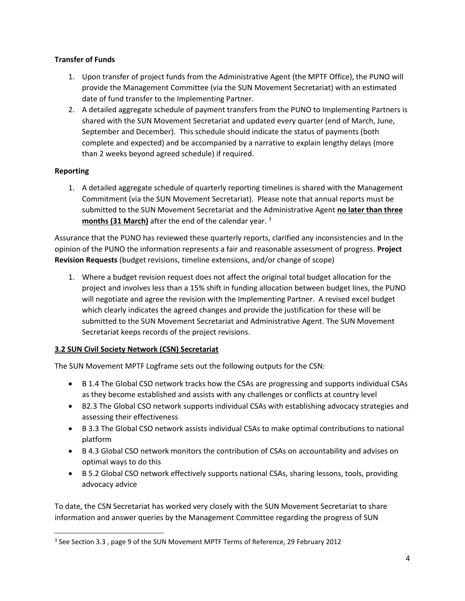### **Transfer of Funds**

- 1. Upon transfer of project funds from the Administrative Agent (the MPTF Office), the PUNO will provide the Management Committee (via the SUN Movement Secretariat) with an estimated date of fund transfer to the Implementing Partner.
- 2. A detailed aggregate schedule of payment transfers from the PUNO to Implementing Partners is shared with the SUN Movement Secretariat and updated every quarter (end of March, June, September and December). This schedule should indicate the status of payments (both complete and expected) and be accompanied by a narrative to explain lengthy delays (more than 2 weeks beyond agreed schedule) if required.

## **Reporting**

 $\overline{\phantom{a}}$ 

1. A detailed aggregate schedule of quarterly reporting timelines is shared with the Management Commitment (via the SUN Movement Secretariat). Please note that annual reports must be submitted to the SUN Movement Secretariat and the Administrative Agent **no later than three months (31 March)** after the end of the calendar year. <sup>3</sup>

Assurance that the PUNO has reviewed these quarterly reports, clarified any inconsistencies and In the opinion of the PUNO the information represents a fair and reasonable assessment of progress. **Project Revision Requests** (budget revisions, timeline extensions, and/or change of scope)

1. Where a budget revision request does not affect the original total budget allocation for the project and involves less than a 15% shift in funding allocation between budget lines, the PUNO will negotiate and agree the revision with the Implementing Partner. A revised excel budget which clearly indicates the agreed changes and provide the justification for these will be submitted to the SUN Movement Secretariat and Administrative Agent. The SUN Movement Secretariat keeps records of the project revisions.

## **3.2 SUN Civil Society Network (CSN) Secretariat**

The SUN Movement MPTF Logframe sets out the following outputs for the CSN:

- B 1.4 The Global CSO network tracks how the CSAs are progressing and supports individual CSAs as they become established and assists with any challenges or conflicts at country level
- B2.3 The Global CSO network supports individual CSAs with establishing advocacy strategies and assessing their effectiveness
- B 3.3 The Global CSO network assists individual CSAs to make optimal contributions to national platform
- B 4.3 Global CSO network monitors the contribution of CSAs on accountability and advises on optimal ways to do this
- B 5.2 Global CSO network effectively supports national CSAs, sharing lessons, tools, providing advocacy advice

To date, the CSN Secretariat has worked very closely with the SUN Movement Secretariat to share information and answer queries by the Management Committee regarding the progress of SUN

<sup>&</sup>lt;sup>3</sup> See Section 3.3, page 9 of the SUN Movement MPTF Terms of Reference, 29 February 2012